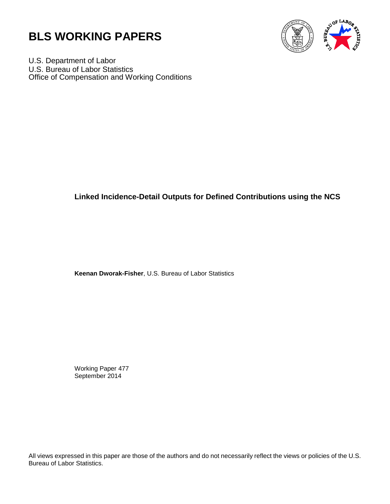



U.S. Department of Labor U.S. Bureau of Labor Statistics Office of Compensation and Working Conditions

# **Linked Incidence-Detail Outputs for Defined Contributions using the NCS**

**Keenan Dworak-Fisher**, U.S. Bureau of Labor Statistics

Working Paper 477 September 2014

All views expressed in this paper are those of the authors and do not necessarily reflect the views or policies of the U.S. Bureau of Labor Statistics.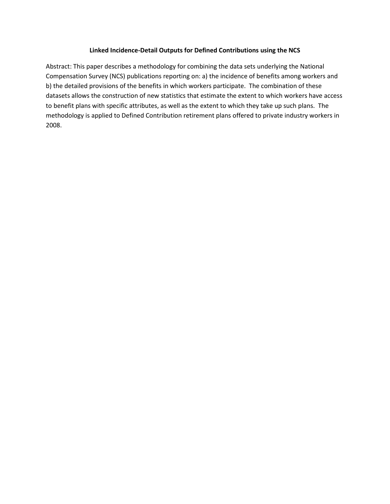### **Linked Incidence-Detail Outputs for Defined Contributions using the NCS**

Abstract: This paper describes a methodology for combining the data sets underlying the National Compensation Survey (NCS) publications reporting on: a) the incidence of benefits among workers and b) the detailed provisions of the benefits in which workers participate. The combination of these datasets allows the construction of new statistics that estimate the extent to which workers have access to benefit plans with specific attributes, as well as the extent to which they take up such plans. The methodology is applied to Defined Contribution retirement plans offered to private industry workers in 2008.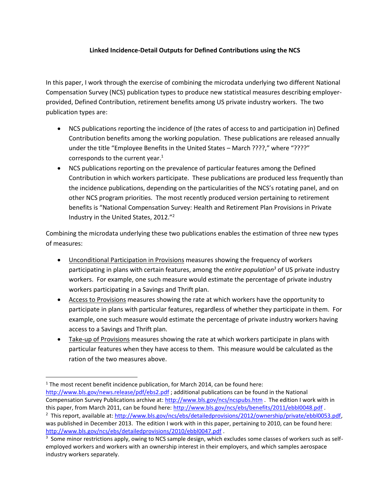## **Linked Incidence-Detail Outputs for Defined Contributions using the NCS**

In this paper, I work through the exercise of combining the microdata underlying two different National Compensation Survey (NCS) publication types to produce new statistical measures describing employerprovided, Defined Contribution, retirement benefits among US private industry workers. The two publication types are:

- NCS publications reporting the incidence of (the rates of access to and participation in) Defined Contribution benefits among the working population. These publications are released annually under the title "Employee Benefits in the United States – March ????," where "????" corresponds to the current year. $1$
- NCS publications reporting on the prevalence of particular features among the Defined Contribution in which workers participate. These publications are produced less frequently than the incidence publications, depending on the particularities of the NCS's rotating panel, and on other NCS program priorities. The most recently produced version pertaining to retirement benefits is "National Compensation Survey: Health and Retirement Plan Provisions in Private Industry in the United States, 2012."<sup>2</sup>

Combining the microdata underlying these two publications enables the estimation of three new types of measures:

- Unconditional Participation in Provisions measures showing the frequency of workers participating in plans with certain features, among the *entire population<sup>3</sup>* of US private industry workers. For example, one such measure would estimate the percentage of private industry workers participating in a Savings and Thrift plan.
- **Access to Provisions** measures showing the rate at which workers have the opportunity to participate in plans with particular features, regardless of whether they participate in them. For example, one such measure would estimate the percentage of private industry workers having access to a Savings and Thrift plan.
- Take-up of Provisions measures showing the rate at which workers participate in plans with particular features when they have access to them. This measure would be calculated as the ration of the two measures above.

 $<sup>1</sup>$  The most recent benefit incidence publication, for March 2014, can be found here:</sup> http://www.bls.gov/news.release/pdf/ebs2.pdf; additional publications can be found in the National Compensation Survey Publications archive at: [http://www.bls.gov/ncs/ncspubs.htm .](http://www.bls.gov/ncs/ncspubs.htm) The edition I work with in this paper, from March 2011, can be found here: [http://www.bls.gov/ncs/ebs/benefits/2011/ebbl0048.pdf .](http://www.bls.gov/ncs/ebs/benefits/2011/ebbl0048.pdf)

<sup>&</sup>lt;sup>2</sup> This report, available at: [http://www.bls.gov/ncs/ebs/detailedprovisions/2012/ownership/private/ebbl0053.pdf,](http://www.bls.gov/ncs/ebs/detailedprovisions/2012/ownership/private/ebbl0053.pdf) was published in December 2013. The edition I work with in this paper, pertaining to 2010, can be found here: <http://www.bls.gov/ncs/ebs/detailedprovisions/2010/ebbl0047.pdf>.

<sup>&</sup>lt;sup>3</sup> Some minor restrictions apply, owing to NCS sample design, which excludes some classes of workers such as selfemployed workers and workers with an ownership interest in their employers, and which samples aerospace industry workers separately.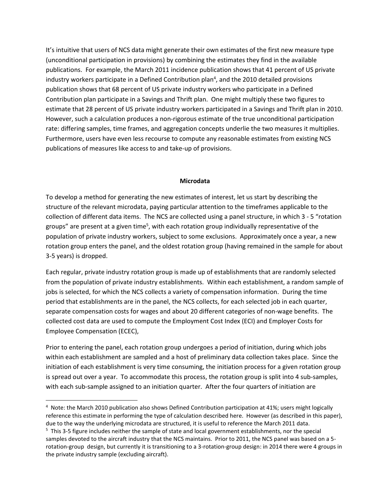It's intuitive that users of NCS data might generate their own estimates of the first new measure type (unconditional participation in provisions) by combining the estimates they find in the available publications. For example, the March 2011 incidence publication shows that 41 percent of US private industry workers participate in a Defined Contribution plan<sup>4</sup>, and the 2010 detailed provisions publication shows that 68 percent of US private industry workers who participate in a Defined Contribution plan participate in a Savings and Thrift plan. One might multiply these two figures to estimate that 28 percent of US private industry workers participated in a Savings and Thrift plan in 2010. However, such a calculation produces a non-rigorous estimate of the true unconditional participation rate: differing samples, time frames, and aggregation concepts underlie the two measures it multiplies. Furthermore, users have even less recourse to compute any reasonable estimates from existing NCS publications of measures like access to and take-up of provisions.

#### **Microdata**

To develop a method for generating the new estimates of interest, let us start by describing the structure of the relevant microdata, paying particular attention to the timeframes applicable to the collection of different data items. The NCS are collected using a panel structure, in which 3 - 5 "rotation groups" are present at a given time<sup>5</sup>, with each rotation group individually representative of the population of private industry workers, subject to some exclusions. Approximately once a year, a new rotation group enters the panel, and the oldest rotation group (having remained in the sample for about 3-5 years) is dropped.

Each regular, private industry rotation group is made up of establishments that are randomly selected from the population of private industry establishments. Within each establishment, a random sample of jobs is selected, for which the NCS collects a variety of compensation information. During the time period that establishments are in the panel, the NCS collects, for each selected job in each quarter, separate compensation costs for wages and about 20 different categories of non-wage benefits. The collected cost data are used to compute the Employment Cost Index (ECI) and Employer Costs for Employee Compensation (ECEC),

Prior to entering the panel, each rotation group undergoes a period of initiation, during which jobs within each establishment are sampled and a host of preliminary data collection takes place. Since the initiation of each establishment is very time consuming, the initiation process for a given rotation group is spread out over a year. To accommodate this process, the rotation group is split into 4 sub-samples, with each sub-sample assigned to an initiation quarter. After the four quarters of initiation are

<sup>&</sup>lt;sup>4</sup> Note: the March 2010 publication also shows Defined Contribution participation at 41%; users might logically reference this estimate in performing the type of calculation described here. However (as described in this paper), due to the way the underlying microdata are structured, it is useful to reference the March 2011 data.

<sup>&</sup>lt;sup>5</sup> This 3-5 figure includes neither the sample of state and local government establishments, nor the special samples devoted to the aircraft industry that the NCS maintains. Prior to 2011, the NCS panel was based on a 5 rotation-group design, but currently it is transitioning to a 3-rotation-group design: in 2014 there were 4 groups in the private industry sample (excluding aircraft).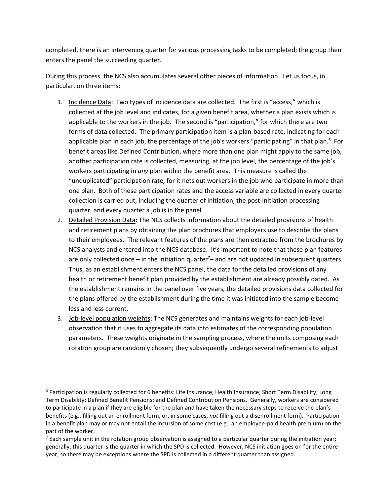completed, there is an intervening quarter for various processing tasks to be completed; the group then enters the panel the succeeding quarter.

During this process, the NCS also accumulates several other pieces of information. Let us focus, in particular, on three items:

- 1. Incidence Data: Two types of incidence data are collected. The first is "access," which is collected at the job level and indicates, for a given benefit area, whether a plan exists which is applicable to the workers in the job. The second is "participation," for which there are two forms of data collected. The primary participation item is a plan-based rate, indicating for each applicable plan in each job, the percentage of the job's workers "participating" in that plan.<sup>6</sup> For benefit areas like Defined Contribution, where more than one plan might apply to the same job, another participation rate is collected, measuring, at the job level, the percentage of the job's workers participating in *any* plan within the benefit area. This measure is called the "unduplicated" participation rate, for it nets out workers in the job who participate in more than one plan. Both of these participation rates and the access variable are collected in every quarter collection is carried out, including the quarter of initiation, the post-initiation processing quarter, and every quarter a job is in the panel.
- 2. Detailed Provision Data: The NCS collects information about the detailed provisions of health and retirement plans by obtaining the plan brochures that employers use to describe the plans to their employees. The relevant features of the plans are then extracted from the brochures by NCS analysts and entered into the NCS database. It's important to note that these plan features are only collected once – in the initiation quarter<sup>7</sup>– and are not updated in subsequent quarters. Thus, as an establishment enters the NCS panel, the data for the detailed provisions of any health or retirement benefit plan provided by the establishment are already possibly dated. As the establishment remains in the panel over five years, the detailed provisions data collected for the plans offered by the establishment during the time it was initiated into the sample become less and less current.
- 3. Job-level population weights: The NCS generates and maintains weights for each job-level observation that it uses to aggregate its data into estimates of the corresponding population parameters. These weights originate in the sampling process, where the units composing each rotation group are randomly chosen; they subsequently undergo several refinements to adjust

 $\overline{\phantom{a}}$ 6 Participation is regularly collected for 6 benefits: Life Insurance; Health Insurance; Short Term Disability; Long Term Disability; Defined Benefit Pensions; and Defined Contribution Pensions. Generally, workers are considered to participate in a plan if they are eligible for the plan and have taken the necessary steps to receive the plan's benefits (e.g., filling out an enrollment form, or, in some cases, *not* filling out a disenrollment form). Participation in a benefit plan may or may not entail the incursion of some cost (e.g., an employee-paid health premium) on the part of the worker.

<sup>&</sup>lt;sup>7</sup> Each sample unit in the rotation group observation is assigned to a particular quarter during the initiation year; generally, this quarter is the quarter in which the SPD is collected. However, NCS initiation goes on for the entire year, so there may be exceptions where the SPD is collected in a different quarter than assigned.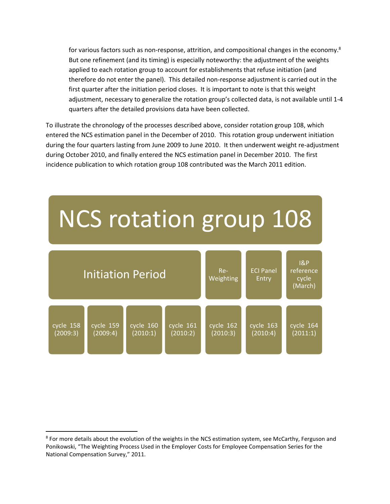for various factors such as non-response, attrition, and compositional changes in the economy.<sup>8</sup> But one refinement (and its timing) is especially noteworthy: the adjustment of the weights applied to each rotation group to account for establishments that refuse initiation (and therefore do not enter the panel). This detailed non-response adjustment is carried out in the first quarter after the initiation period closes. It is important to note is that this weight adjustment, necessary to generalize the rotation group's collected data, is not available until 1-4 quarters after the detailed provisions data have been collected.

To illustrate the chronology of the processes described above, consider rotation group 108, which entered the NCS estimation panel in the December of 2010. This rotation group underwent initiation during the four quarters lasting from June 2009 to June 2010. It then underwent weight re-adjustment during October 2010, and finally entered the NCS estimation panel in December 2010. The first incidence publication to which rotation group 108 contributed was the March 2011 edition.



 $\overline{\phantom{a}}$ <sup>8</sup> For more details about the evolution of the weights in the NCS estimation system, see McCarthy, Ferguson and Ponikowski, "The Weighting Process Used in the Employer Costs for Employee Compensation Series for the National Compensation Survey," 2011.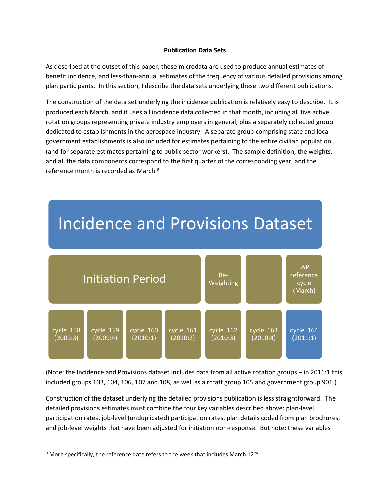#### **Publication Data Sets**

As described at the outset of this paper, these microdata are used to produce annual estimates of benefit incidence, and less-than-annual estimates of the frequency of various detailed provisions among plan participants. In this section, I describe the data sets underlying these two different publications.

The construction of the data set underlying the incidence publication is relatively easy to describe. It is produced each March, and it uses all incidence data collected in that month, including all five active rotation groups representing private industry employers in general, plus a separately collected group dedicated to establishments in the aerospace industry. A separate group comprising state and local government establishments is also included for estimates pertaining to the entire civilian population (and for separate estimates pertaining to public sector workers). The sample definition, the weights, and all the data components correspond to the first quarter of the corresponding year, and the reference month is recorded as March.<sup>9</sup>



## (Note: the Incidence and Provisions dataset includes data from all active rotation groups – in 2011:1 this included groups 103, 104, 106, 107 and 108, as well as aircraft group 105 and government group 901.)

Construction of the dataset underlying the detailed provisions publication is less straightforward. The detailed provisions estimates must combine the four key variables described above: plan-level participation rates, job-level (unduplicated) participation rates, plan details coded from plan brochures, and job-level weights that have been adjusted for initiation non-response. But note: these variables

 $9$  More specifically, the reference date refers to the week that includes March 12<sup>th</sup>.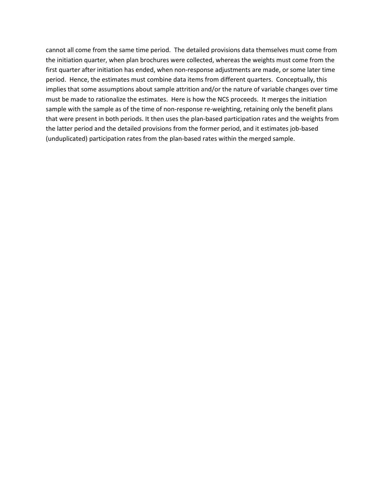cannot all come from the same time period. The detailed provisions data themselves must come from the initiation quarter, when plan brochures were collected, whereas the weights must come from the first quarter after initiation has ended, when non-response adjustments are made, or some later time period. Hence, the estimates must combine data items from different quarters. Conceptually, this implies that some assumptions about sample attrition and/or the nature of variable changes over time must be made to rationalize the estimates. Here is how the NCS proceeds. It merges the initiation sample with the sample as of the time of non-response re-weighting, retaining only the benefit plans that were present in both periods. It then uses the plan-based participation rates and the weights from the latter period and the detailed provisions from the former period, and it estimates job-based (unduplicated) participation rates from the plan-based rates within the merged sample.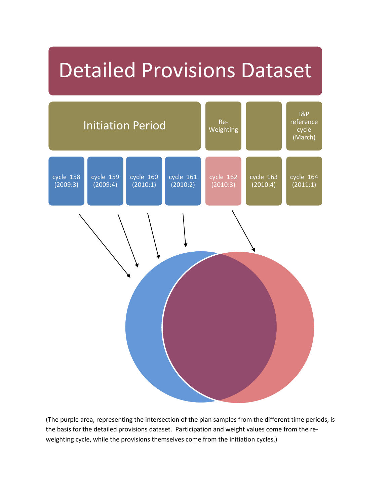# Detailed Provisions Dataset



(The purple area, representing the intersection of the plan samples from the different time periods, is the basis for the detailed provisions dataset. Participation and weight values come from the reweighting cycle, while the provisions themselves come from the initiation cycles.)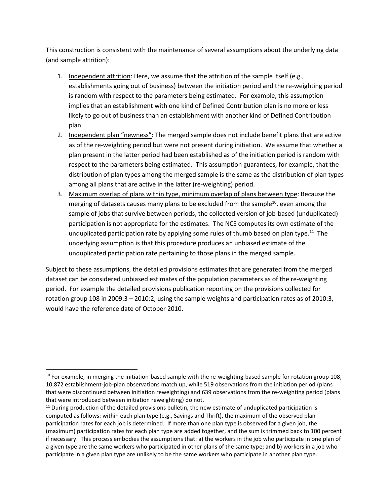This construction is consistent with the maintenance of several assumptions about the underlying data (and sample attrition):

- 1. Independent attrition: Here, we assume that the attrition of the sample itself (e.g., establishments going out of business) between the initiation period and the re-weighting period is random with respect to the parameters being estimated. For example, this assumption implies that an establishment with one kind of Defined Contribution plan is no more or less likely to go out of business than an establishment with another kind of Defined Contribution plan.
- 2. Independent plan "newness": The merged sample does not include benefit plans that are active as of the re-weighting period but were not present during initiation. We assume that whether a plan present in the latter period had been established as of the initiation period is random with respect to the parameters being estimated. This assumption guarantees, for example, that the distribution of plan types among the merged sample is the same as the distribution of plan types among all plans that are active in the latter (re-weighting) period.
- 3. Maximum overlap of plans within type, minimum overlap of plans between type: Because the merging of datasets causes many plans to be excluded from the sample $^{10}$ , even among the sample of jobs that survive between periods, the collected version of job-based (unduplicated) participation is not appropriate for the estimates. The NCS computes its own estimate of the unduplicated participation rate by applying some rules of thumb based on plan type.<sup>11</sup> The underlying assumption is that this procedure produces an unbiased estimate of the unduplicated participation rate pertaining to those plans in the merged sample.

Subject to these assumptions, the detailed provisions estimates that are generated from the merged dataset can be considered unbiased estimates of the population parameters as of the re-weighting period. For example the detailed provisions publication reporting on the provisions collected for rotation group 108 in 2009:3 – 2010:2, using the sample weights and participation rates as of 2010:3, would have the reference date of October 2010.

 $\overline{a}$ 

 $10$  For example, in merging the initiation-based sample with the re-weighting-based sample for rotation group 108, 10,872 establishment-job-plan observations match up, while 519 observations from the initiation period (plans that were discontinued between initiation reweighting) and 639 observations from the re-weighting period (plans that were introduced between initiation reweighting) do not.

 $11$  During production of the detailed provisions bulletin, the new estimate of unduplicated participation is computed as follows: within each plan type (e.g., Savings and Thrift), the maximum of the observed plan participation rates for each job is determined. If more than one plan type is observed for a given job, the (maximum) participation rates for each plan type are added together, and the sum is trimmed back to 100 percent if necessary. This process embodies the assumptions that: a) the workers in the job who participate in one plan of a given type are the same workers who participated in other plans of the same type; and b) workers in a job who participate in a given plan type are unlikely to be the same workers who participate in another plan type.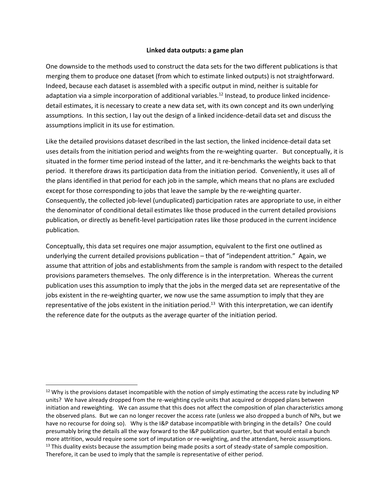#### **Linked data outputs: a game plan**

One downside to the methods used to construct the data sets for the two different publications is that merging them to produce one dataset (from which to estimate linked outputs) is not straightforward. Indeed, because each dataset is assembled with a specific output in mind, neither is suitable for adaptation via a simple incorporation of additional variables.<sup>12</sup> Instead, to produce linked incidencedetail estimates, it is necessary to create a new data set, with its own concept and its own underlying assumptions. In this section, I lay out the design of a linked incidence-detail data set and discuss the assumptions implicit in its use for estimation.

Like the detailed provisions dataset described in the last section, the linked incidence-detail data set uses details from the initiation period and weights from the re-weighting quarter. But conceptually, it is situated in the former time period instead of the latter, and it re-benchmarks the weights back to that period. It therefore draws its participation data from the initiation period. Conveniently, it uses all of the plans identified in that period for each job in the sample, which means that no plans are excluded except for those corresponding to jobs that leave the sample by the re-weighting quarter. Consequently, the collected job-level (unduplicated) participation rates are appropriate to use, in either the denominator of conditional detail estimates like those produced in the current detailed provisions publication, or directly as benefit-level participation rates like those produced in the current incidence publication.

Conceptually, this data set requires one major assumption, equivalent to the first one outlined as underlying the current detailed provisions publication – that of "independent attrition." Again, we assume that attrition of jobs and establishments from the sample is random with respect to the detailed provisions parameters themselves. The only difference is in the interpretation. Whereas the current publication uses this assumption to imply that the jobs in the merged data set are representative of the jobs existent in the re-weighting quarter, we now use the same assumption to imply that they are representative of the jobs existent in the initiation period.<sup>13</sup> With this interpretation, we can identify the reference date for the outputs as the average quarter of the initiation period.

 $12$  Why is the provisions dataset incompatible with the notion of simply estimating the access rate by including NP units? We have already dropped from the re-weighting cycle units that acquired or dropped plans between initiation and reweighting. We can assume that this does not affect the composition of plan characteristics among the observed plans. But we can no longer recover the access rate (unless we also dropped a bunch of NPs, but we have no recourse for doing so). Why is the I&P database incompatible with bringing in the details? One could presumably bring the details all the way forward to the I&P publication quarter, but that would entail a bunch more attrition, would require some sort of imputation or re-weighting, and the attendant, heroic assumptions.  $13$  This duality exists because the assumption being made posits a sort of steady-state of sample composition. Therefore, it can be used to imply that the sample is representative of either period.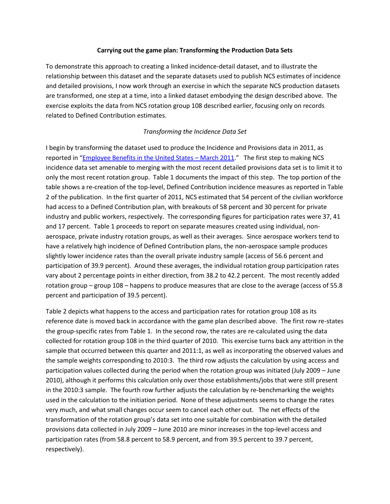#### **Carrying out the game plan: Transforming the Production Data Sets**

To demonstrate this approach to creating a linked incidence-detail dataset, and to illustrate the relationship between this dataset and the separate datasets used to publish NCS estimates of incidence and detailed provisions, I now work through an exercise in which the separate NCS production datasets are transformed, one step at a time, into a linked dataset embodying the design described above. The exercise exploits the data from NCS rotation group 108 described earlier, focusing only on records related to Defined Contribution estimates.

## *Transforming the Incidence Data Set*

I begin by transforming the dataset used to produce the Incidence and Provisions data in 2011, as reported in "[Employee Benefits in the United States](http://www.bls.gov/ncs/ebs/benefits/2011/ebbl0048.pdf) – March 2011." The first step to making NCS incidence data set amenable to merging with the most recent detailed provisions data set is to limit it to only the most recent rotation group. Table 1 documents the impact of this step. The top portion of the table shows a re-creation of the top-level, Defined Contribution incidence measures as reported in Table 2 of the publication. In the first quarter of 2011, NCS estimated that 54 percent of the civilian workforce had access to a Defined Contribution plan, with breakouts of 58 percent and 30 percent for private industry and public workers, respectively. The corresponding figures for participation rates were 37, 41 and 17 percent. Table 1 proceeds to report on separate measures created using individual, nonaerospace, private industry rotation groups, as well as their averages. Since aerospace workers tend to have a relatively high incidence of Defined Contribution plans, the non-aerospace sample produces slightly lower incidence rates than the overall private industry sample (access of 56.6 percent and participation of 39.9 percent). Around these averages, the individual rotation group participation rates vary about 2 percentage points in either direction, from 38.2 to 42.2 percent. The most recently added rotation group – group 108 – happens to produce measures that are close to the average (access of 55.8 percent and participation of 39.5 percent).

Table 2 depicts what happens to the access and participation rates for rotation group 108 as its reference date is moved back in accordance with the game plan described above. The first row re-states the group-specific rates from Table 1. In the second row, the rates are re-calculated using the data collected for rotation group 108 in the third quarter of 2010. This exercise turns back any attrition in the sample that occurred between this quarter and 2011:1, as well as incorporating the observed values and the sample weights corresponding to 2010:3. The third row adjusts the calculation by using access and participation values collected during the period when the rotation group was initiated (July 2009 – June 2010), although it performs this calculation only over those establishments/jobs that were still present in the 2010:3 sample. The fourth row further adjusts the calculation by re-benchmarking the weights used in the calculation to the initiation period. None of these adjustments seems to change the rates very much, and what small changes occur seem to cancel each other out. The net effects of the transformation of the rotation group's data set into one suitable for combination with the detailed provisions data collected in July 2009 – June 2010 are minor increases in the top-level access and participation rates (from 58.8 percent to 58.9 percent, and from 39.5 percent to 39.7 percent, respectively).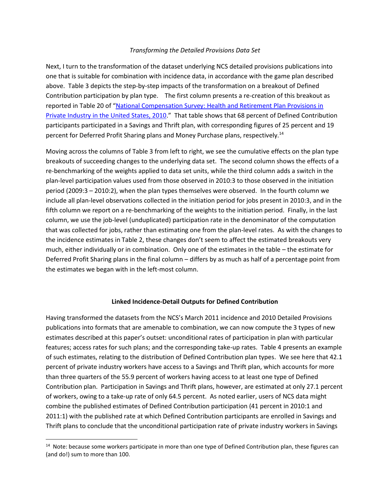#### *Transforming the Detailed Provisions Data Set*

Next, I turn to the transformation of the dataset underlying NCS detailed provisions publications into one that is suitable for combination with incidence data, in accordance with the game plan described above. Table 3 depicts the step-by-step impacts of the transformation on a breakout of Defined Contribution participation by plan type. The first column presents a re-creation of this breakout as reported in Table 20 of "[National Compensation Survey: Health and Retirement Plan Provisions in](http://www.bls.gov/ncs/ebs/detailedprovisions/2010/ebbl0047.pdf)  [Private Industry in the United States, 2010](http://www.bls.gov/ncs/ebs/detailedprovisions/2010/ebbl0047.pdf)." That table shows that 68 percent of Defined Contribution participants participated in a Savings and Thrift plan, with corresponding figures of 25 percent and 19 percent for Deferred Profit Sharing plans and Money Purchase plans, respectively.<sup>14</sup>

Moving across the columns of Table 3 from left to right, we see the cumulative effects on the plan type breakouts of succeeding changes to the underlying data set. The second column shows the effects of a re-benchmarking of the weights applied to data set units, while the third column adds a switch in the plan-level participation values used from those observed in 2010:3 to those observed in the initiation period (2009:3 – 2010:2), when the plan types themselves were observed. In the fourth column we include all plan-level observations collected in the initiation period for jobs present in 2010:3, and in the fifth column we report on a re-benchmarking of the weights to the initiation period. Finally, in the last column, we use the job-level (unduplicated) participation rate in the denominator of the computation that was collected for jobs, rather than estimating one from the plan-level rates. As with the changes to the incidence estimates in Table 2, these changes don't seem to affect the estimated breakouts very much, either individually or in combination. Only one of the estimates in the table – the estimate for Deferred Profit Sharing plans in the final column – differs by as much as half of a percentage point from the estimates we began with in the left-most column.

#### **Linked Incidence-Detail Outputs for Defined Contribution**

Having transformed the datasets from the NCS's March 2011 incidence and 2010 Detailed Provisions publications into formats that are amenable to combination, we can now compute the 3 types of new estimates described at this paper's outset: unconditional rates of participation in plan with particular features; access rates for such plans; and the corresponding take-up rates. Table 4 presents an example of such estimates, relating to the distribution of Defined Contribution plan types. We see here that 42.1 percent of private industry workers have access to a Savings and Thrift plan, which accounts for more than three quarters of the 55.9 percent of workers having access to at least one type of Defined Contribution plan. Participation in Savings and Thrift plans, however, are estimated at only 27.1 percent of workers, owing to a take-up rate of only 64.5 percent. As noted earlier, users of NCS data might combine the published estimates of Defined Contribution participation (41 percent in 2010:1 and 2011:1) with the published rate at which Defined Contribution participants are enrolled in Savings and Thrift plans to conclude that the unconditional participation rate of private industry workers in Savings

l

<sup>&</sup>lt;sup>14</sup> Note: because some workers participate in more than one type of Defined Contribution plan, these figures can (and do!) sum to more than 100.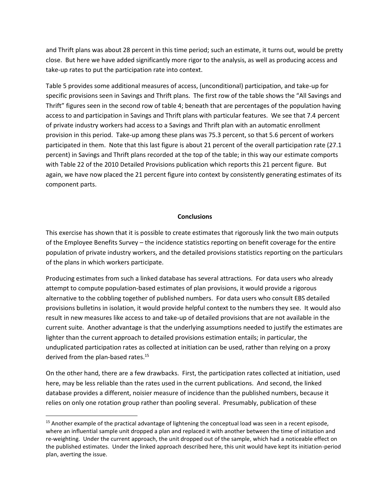and Thrift plans was about 28 percent in this time period; such an estimate, it turns out, would be pretty close. But here we have added significantly more rigor to the analysis, as well as producing access and take-up rates to put the participation rate into context.

Table 5 provides some additional measures of access, (unconditional) participation, and take-up for specific provisions seen in Savings and Thrift plans. The first row of the table shows the "All Savings and Thrift" figures seen in the second row of table 4; beneath that are percentages of the population having access to and participation in Savings and Thrift plans with particular features. We see that 7.4 percent of private industry workers had access to a Savings and Thrift plan with an automatic enrollment provision in this period. Take-up among these plans was 75.3 percent, so that 5.6 percent of workers participated in them. Note that this last figure is about 21 percent of the overall participation rate (27.1 percent) in Savings and Thrift plans recorded at the top of the table; in this way our estimate comports with Table 22 of the 2010 Detailed Provisions publication which reports this 21 percent figure. But again, we have now placed the 21 percent figure into context by consistently generating estimates of its component parts.

#### **Conclusions**

This exercise has shown that it is possible to create estimates that rigorously link the two main outputs of the Employee Benefits Survey – the incidence statistics reporting on benefit coverage for the entire population of private industry workers, and the detailed provisions statistics reporting on the particulars of the plans in which workers participate.

Producing estimates from such a linked database has several attractions. For data users who already attempt to compute population-based estimates of plan provisions, it would provide a rigorous alternative to the cobbling together of published numbers. For data users who consult EBS detailed provisions bulletins in isolation, it would provide helpful context to the numbers they see. It would also result in new measures like access to and take-up of detailed provisions that are not available in the current suite. Another advantage is that the underlying assumptions needed to justify the estimates are lighter than the current approach to detailed provisions estimation entails; in particular, the unduplicated participation rates as collected at initiation can be used, rather than relying on a proxy derived from the plan-based rates.<sup>15</sup>

On the other hand, there are a few drawbacks. First, the participation rates collected at initiation, used here, may be less reliable than the rates used in the current publications. And second, the linked database provides a different, noisier measure of incidence than the published numbers, because it relies on only one rotation group rather than pooling several. Presumably, publication of these

l

<sup>&</sup>lt;sup>15</sup> Another example of the practical advantage of lightening the conceptual load was seen in a recent episode, where an influential sample unit dropped a plan and replaced it with another between the time of initiation and re-weighting. Under the current approach, the unit dropped out of the sample, which had a noticeable effect on the published estimates. Under the linked approach described here, this unit would have kept its initiation-period plan, averting the issue.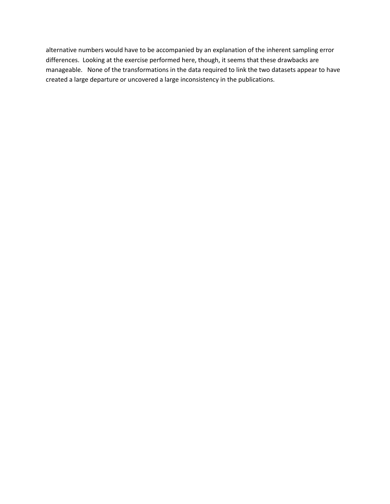alternative numbers would have to be accompanied by an explanation of the inherent sampling error differences. Looking at the exercise performed here, though, it seems that these drawbacks are manageable. None of the transformations in the data required to link the two datasets appear to have created a large departure or uncovered a large inconsistency in the publications.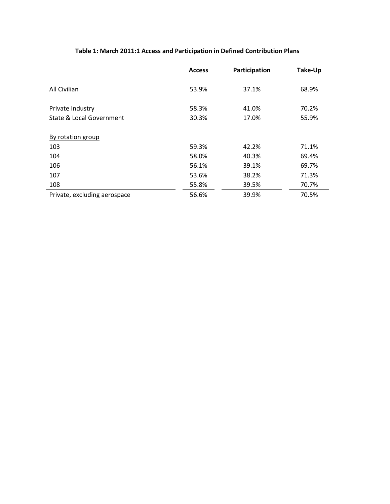# **Table 1: March 2011:1 Access and Participation in Defined Contribution Plans**

|                                     | <b>Access</b> | Participation | Take-Up |
|-------------------------------------|---------------|---------------|---------|
| All Civilian                        | 53.9%         | 37.1%         | 68.9%   |
| Private Industry                    | 58.3%         | 41.0%         | 70.2%   |
| <b>State &amp; Local Government</b> | 30.3%         | 17.0%         | 55.9%   |
| By rotation group                   |               |               |         |
| 103                                 | 59.3%         | 42.2%         | 71.1%   |
| 104                                 | 58.0%         | 40.3%         | 69.4%   |
| 106                                 | 56.1%         | 39.1%         | 69.7%   |
| 107                                 | 53.6%         | 38.2%         | 71.3%   |
| 108                                 | 55.8%         | 39.5%         | 70.7%   |
| Private, excluding aerospace        | 56.6%         | 39.9%         | 70.5%   |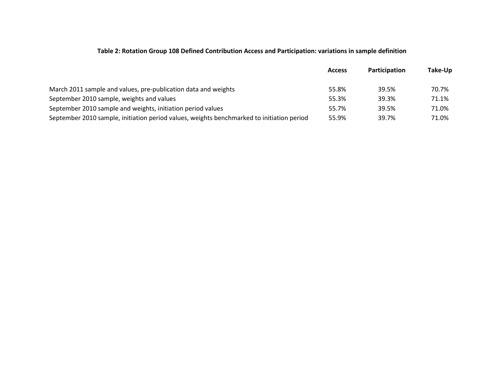## **Table 2: Rotation Group 108 Defined Contribution Access and Participation: variations in sample definition**

|                                                                                           | <b>Access</b> | <b>Participation</b> | Take-Up |
|-------------------------------------------------------------------------------------------|---------------|----------------------|---------|
| March 2011 sample and values, pre-publication data and weights                            | 55.8%         | 39.5%                | 70.7%   |
| September 2010 sample, weights and values                                                 | 55.3%         | 39.3%                | 71.1%   |
| September 2010 sample and weights, initiation period values                               | 55.7%         | 39.5%                | 71.0%   |
| September 2010 sample, initiation period values, weights benchmarked to initiation period | 55.9%         | 39.7%                | 71.0%   |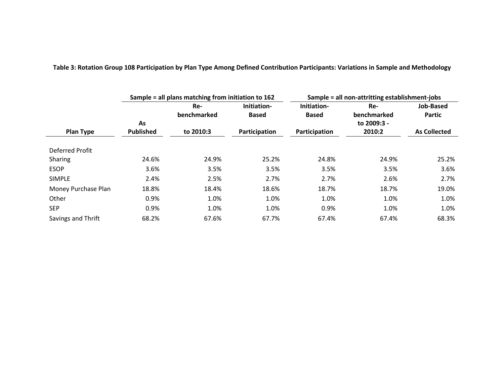|                     | Sample = all plans matching from initiation to 162 |             | Sample = all non-attritting establishment-jobs |               |             |                     |
|---------------------|----------------------------------------------------|-------------|------------------------------------------------|---------------|-------------|---------------------|
|                     |                                                    | Re-         | Initiation-                                    | Initiation-   | Re-         | <b>Job-Based</b>    |
|                     |                                                    | benchmarked | <b>Based</b>                                   | <b>Based</b>  | benchmarked | <b>Partic</b>       |
|                     | As                                                 |             |                                                |               | to 2009:3 - |                     |
| <b>Plan Type</b>    | <b>Published</b>                                   | to 2010:3   | Participation                                  | Participation | 2010:2      | <b>As Collected</b> |
|                     |                                                    |             |                                                |               |             |                     |
| Deferred Profit     |                                                    |             |                                                |               |             |                     |
| Sharing             | 24.6%                                              | 24.9%       | 25.2%                                          | 24.8%         | 24.9%       | 25.2%               |
| <b>ESOP</b>         | 3.6%                                               | 3.5%        | 3.5%                                           | 3.5%          | 3.5%        | 3.6%                |
| <b>SIMPLE</b>       | 2.4%                                               | 2.5%        | 2.7%                                           | 2.7%          | 2.6%        | 2.7%                |
| Money Purchase Plan | 18.8%                                              | 18.4%       | 18.6%                                          | 18.7%         | 18.7%       | 19.0%               |
| Other               | 0.9%                                               | 1.0%        | 1.0%                                           | 1.0%          | 1.0%        | 1.0%                |
| <b>SEP</b>          | 0.9%                                               | 1.0%        | 1.0%                                           | 0.9%          | 1.0%        | 1.0%                |
| Savings and Thrift  | 68.2%                                              | 67.6%       | 67.7%                                          | 67.4%         | 67.4%       | 68.3%               |

**Table 3: Rotation Group 108 Participation by Plan Type Among Defined Contribution Participants: Variations in Sample and Methodology**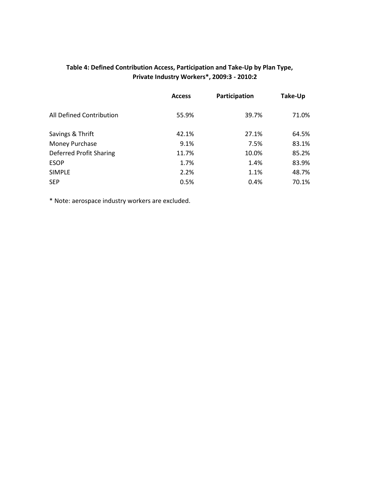## **Table 4: Defined Contribution Access, Participation and Take-Up by Plan Type, Private Industry Workers\*, 2009:3 - 2010:2**

|                          | <b>Access</b> | Participation | Take-Up |
|--------------------------|---------------|---------------|---------|
| All Defined Contribution | 55.9%         | 39.7%         | 71.0%   |
| Savings & Thrift         | 42.1%         | 27.1%         | 64.5%   |
| Money Purchase           | 9.1%          | 7.5%          | 83.1%   |
| Deferred Profit Sharing  | 11.7%         | 10.0%         | 85.2%   |
| <b>ESOP</b>              | 1.7%          | 1.4%          | 83.9%   |
| <b>SIMPLE</b>            | 2.2%          | 1.1%          | 48.7%   |
| <b>SEP</b>               | 0.5%          | 0.4%          | 70.1%   |

\* Note: aerospace industry workers are excluded.